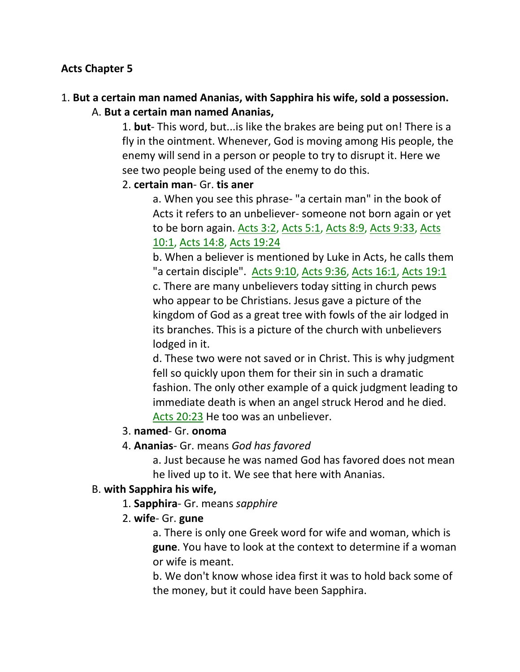## **Acts Chapter 5**

# 1. **But a certain man named Ananias, with Sapphira his wife, sold a possession.**

## A. **But a certain man named Ananias,**

1. **but**- This word, but...is like the brakes are being put on! There is a fly in the ointment. Whenever, God is moving among His people, the enemy will send in a person or people to try to disrupt it. Here we see two people being used of the enemy to do this.

## 2. **certain man**- Gr. **tis aner**

a. When you see this phrase- "a certain man" in the book of Acts it refers to an unbeliever- someone not born again or yet to be born again. Acts 3:2, Acts 5:1, Acts 8:9, Acts 9:33, Acts 10:1, Acts 14:8, Acts 19:24

b. When a believer is mentioned by Luke in Acts, he calls them "a certain disciple". Acts 9:10, Acts 9:36, Acts 16:1, Acts 19:1 c. There are many unbelievers today sitting in church pews who appear to be Christians. Jesus gave a picture of the kingdom of God as a great tree with fowls of the air lodged in its branches. This is a picture of the church with unbelievers lodged in it.

d. These two were not saved or in Christ. This is why judgment fell so quickly upon them for their sin in such a dramatic fashion. The only other example of a quick judgment leading to immediate death is when an angel struck Herod and he died. Acts 20:23 He too was an unbeliever.

## 3. **named**- Gr. **onoma**

## 4. **Ananias**- Gr. means *God has favored*

a. Just because he was named God has favored does not mean he lived up to it. We see that here with Ananias.

## B. **with Sapphira his wife,**

- 1. **Sapphira** Gr. means *sapphire*
- 2. **wife** Gr. **gune**

a. There is only one Greek word for wife and woman, which is **gune**. You have to look at the context to determine if a woman or wife is meant.

b. We don't know whose idea first it was to hold back some of the money, but it could have been Sapphira.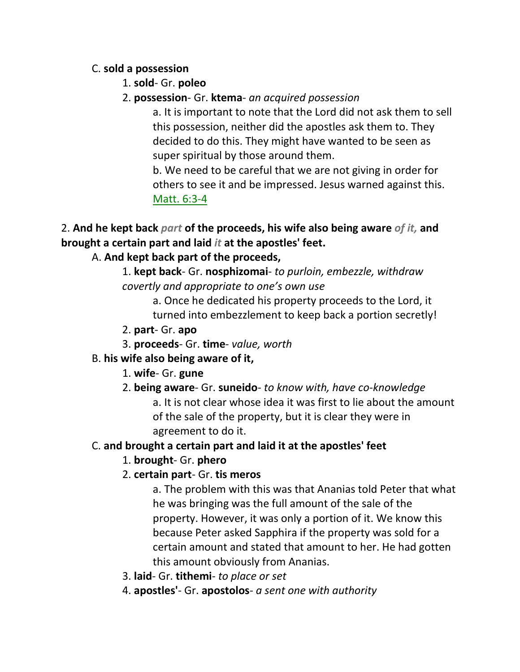## C. **sold a possession**

- 1. **sold** Gr. **poleo**
- 2. **possession** Gr. **ktema** *an acquired possession*

a. It is important to note that the Lord did not ask them to sell this possession, neither did the apostles ask them to. They decided to do this. They might have wanted to be seen as super spiritual by those around them.

b. We need to be careful that we are not giving in order for others to see it and be impressed. Jesus warned against this. Matt. 6:3-4

2. **And he kept back** *part* **of the proceeds, his wife also being aware** *of it,* **and brought a certain part and laid** *it* **at the apostles' feet.** 

# A. **And kept back part of the proceeds,**

1. **kept back**- Gr. **nosphizomai**- *to purloin, embezzle, withdraw covertly and appropriate to one's own use*

> a. Once he dedicated his property proceeds to the Lord, it turned into embezzlement to keep back a portion secretly!

- 2. **part** Gr. **apo**
- 3. **proceeds** Gr. **time** *value, worth*

# B. **his wife also being aware of it,**

- 1. **wife** Gr. **gune**
- 2. **being aware** Gr. **suneido** *to know with, have co-knowledge*

a. It is not clear whose idea it was first to lie about the amount of the sale of the property, but it is clear they were in agreement to do it.

# C. **and brought a certain part and laid it at the apostles' feet**

# 1. **brought**- Gr. **phero**

# 2. **certain part**- Gr. **tis meros**

a. The problem with this was that Ananias told Peter that what he was bringing was the full amount of the sale of the property. However, it was only a portion of it. We know this because Peter asked Sapphira if the property was sold for a certain amount and stated that amount to her. He had gotten this amount obviously from Ananias.

- 3. **laid** Gr. **tithemi** *to place or set*
- 4. **apostles'** Gr. **apostolos** *a sent one with authority*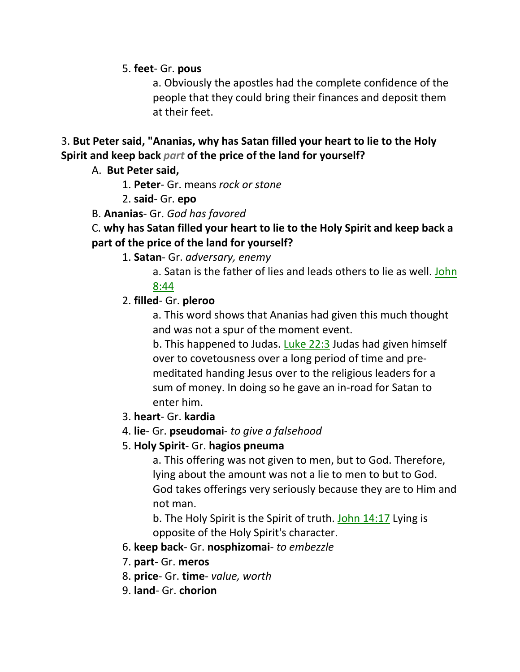5. **feet**- Gr. **pous**

a. Obviously the apostles had the complete confidence of the people that they could bring their finances and deposit them at their feet.

# 3. **But Peter said, "Ananias, why has Satan filled your heart to lie to the Holy Spirit and keep back** *part* **of the price of the land for yourself?**

## A. **But Peter said,**

1. **Peter**- Gr. means *rock or stone*

2. **said**- Gr. **epo**

## B. **Ananias**- Gr. *God has favored*

# C. **why has Satan filled your heart to lie to the Holy Spirit and keep back a part of the price of the land for yourself?**

- 1. **Satan** Gr. *adversary, enemy*
	- a. Satan is the father of lies and leads others to lie as well. John

## 8:44

## 2. **filled**- Gr. **pleroo**

a. This word shows that Ananias had given this much thought and was not a spur of the moment event.

b. This happened to Judas. Luke 22:3 Judas had given himself over to covetousness over a long period of time and premeditated handing Jesus over to the religious leaders for a sum of money. In doing so he gave an in-road for Satan to enter him.

- 3. **heart** Gr. **kardia**
- 4. **lie** Gr. **pseudomai** *to give a falsehood*

# 5. **Holy Spirit**- Gr. **hagios pneuma**

a. This offering was not given to men, but to God. Therefore, lying about the amount was not a lie to men to but to God. God takes offerings very seriously because they are to Him and not man.

b. The Holy Spirit is the Spirit of truth. John 14:17 Lying is opposite of the Holy Spirit's character.

# 6. **keep back**- Gr. **nosphizomai**- *to embezzle*

- 7. **part** Gr. **meros**
- 8. **price** Gr. **time** *value, worth*
- 9. **land** Gr. **chorion**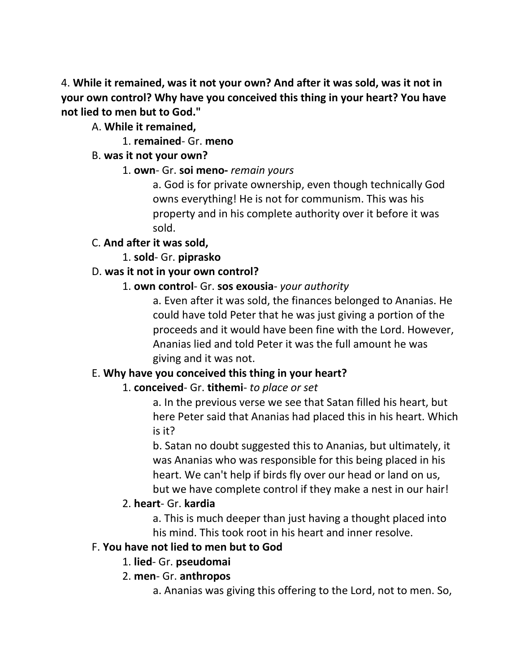4. **While it remained, was it not your own? And after it was sold, was it not in your own control? Why have you conceived this thing in your heart? You have not lied to men but to God."** 

A. **While it remained,**

1. **remained**- Gr. **meno**

# B. **was it not your own?**

# 1. **own**- Gr. **soi meno-** *remain yours*

a. God is for private ownership, even though technically God owns everything! He is not for communism. This was his property and in his complete authority over it before it was sold.

# C. **And after it was sold,**

# 1. **sold**- Gr. **piprasko**

# D. **was it not in your own control?**

# 1. **own control**- Gr. **sos exousia**- *your authority*

a. Even after it was sold, the finances belonged to Ananias. He could have told Peter that he was just giving a portion of the proceeds and it would have been fine with the Lord. However, Ananias lied and told Peter it was the full amount he was giving and it was not.

# E. **Why have you conceived this thing in your heart?**

# 1. **conceived**- Gr. **tithemi**- *to place or set*

a. In the previous verse we see that Satan filled his heart, but here Peter said that Ananias had placed this in his heart. Which is it?

b. Satan no doubt suggested this to Ananias, but ultimately, it was Ananias who was responsible for this being placed in his heart. We can't help if birds fly over our head or land on us, but we have complete control if they make a nest in our hair!

# 2. **heart**- Gr. **kardia**

a. This is much deeper than just having a thought placed into his mind. This took root in his heart and inner resolve.

# F. **You have not lied to men but to God**

# 1. **lied**- Gr. **pseudomai**

# 2. **men**- Gr. **anthropos**

a. Ananias was giving this offering to the Lord, not to men. So,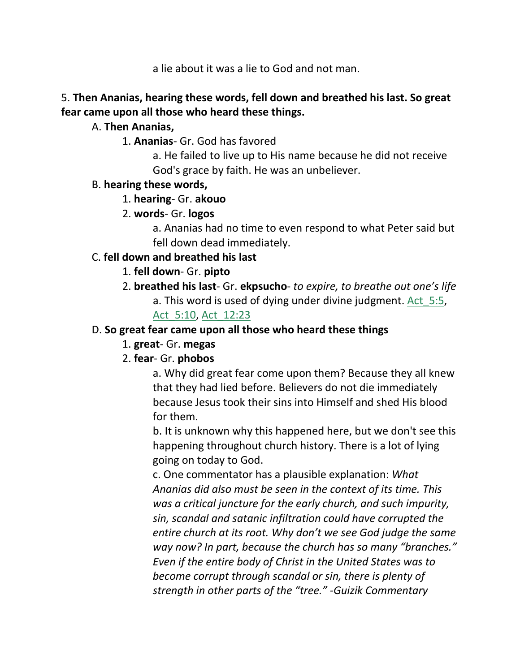a lie about it was a lie to God and not man.

# 5. **Then Ananias, hearing these words, fell down and breathed his last. So great fear came upon all those who heard these things.**

# A. **Then Ananias,**

1. **Ananias**- Gr. God has favored

a. He failed to live up to His name because he did not receive God's grace by faith. He was an unbeliever.

## B. **hearing these words,**

1. **hearing**- Gr. **akouo**

# 2. **words**- Gr. **logos**

a. Ananias had no time to even respond to what Peter said but fell down dead immediately.

# C. **fell down and breathed his last**

# 1. **fell down**- Gr. **pipto**

2. **breathed his last**- Gr. **ekpsucho**- *to expire, to breathe out one's life* a. This word is used of dying under divine judgment. Act 5:5,

# Act\_5:10, Act\_12:23

# D. **So great fear came upon all those who heard these things**

# 1. **great**- Gr. **megas**

# 2. **fear**- Gr. **phobos**

a. Why did great fear come upon them? Because they all knew that they had lied before. Believers do not die immediately because Jesus took their sins into Himself and shed His blood for them.

b. It is unknown why this happened here, but we don't see this happening throughout church history. There is a lot of lying going on today to God.

c. One commentator has a plausible explanation: *What Ananias did also must be seen in the context of its time. This was a critical juncture for the early church, and such impurity, sin, scandal and satanic infiltration could have corrupted the entire church at its root. Why don't we see God judge the same way now? In part, because the church has so many "branches." Even if the entire body of Christ in the United States was to become corrupt through scandal or sin, there is plenty of strength in other parts of the "tree." -Guizik Commentary*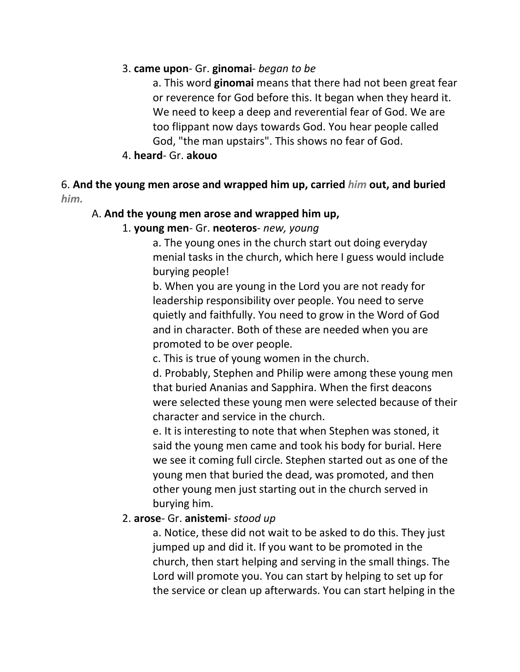## 3. **came upon**- Gr. **ginomai**- *began to be*

a. This word **ginomai** means that there had not been great fear or reverence for God before this. It began when they heard it. We need to keep a deep and reverential fear of God. We are too flippant now days towards God. You hear people called God, "the man upstairs". This shows no fear of God.

## 4. **heard**- Gr. **akouo**

## 6. **And the young men arose and wrapped him up, carried** *him* **out, and buried**  *him.*

## A. **And the young men arose and wrapped him up,**

## 1. **young men**- Gr. **neoteros**- *new, young*

a. The young ones in the church start out doing everyday menial tasks in the church, which here I guess would include burying people!

b. When you are young in the Lord you are not ready for leadership responsibility over people. You need to serve quietly and faithfully. You need to grow in the Word of God and in character. Both of these are needed when you are promoted to be over people.

c. This is true of young women in the church.

d. Probably, Stephen and Philip were among these young men that buried Ananias and Sapphira. When the first deacons were selected these young men were selected because of their character and service in the church.

e. It is interesting to note that when Stephen was stoned, it said the young men came and took his body for burial. Here we see it coming full circle. Stephen started out as one of the young men that buried the dead, was promoted, and then other young men just starting out in the church served in burying him.

## 2. **arose**- Gr. **anistemi**- *stood up*

a. Notice, these did not wait to be asked to do this. They just jumped up and did it. If you want to be promoted in the church, then start helping and serving in the small things. The Lord will promote you. You can start by helping to set up for the service or clean up afterwards. You can start helping in the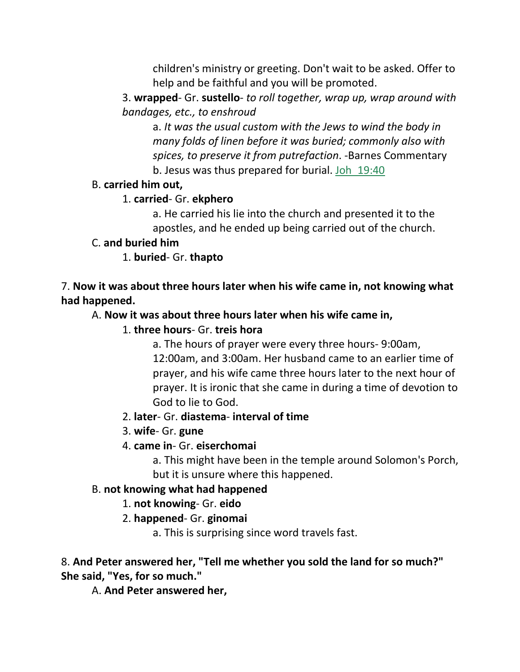children's ministry or greeting. Don't wait to be asked. Offer to help and be faithful and you will be promoted.

3. **wrapped**- Gr. **sustello**- *to roll together, wrap up, wrap around with bandages, etc., to enshroud*

a. *It was the usual custom with the Jews to wind the body in many folds of linen before it was buried; commonly also with spices, to preserve it from putrefaction*. -Barnes Commentary b. Jesus was thus prepared for burial. Joh\_19:40

## B. **carried him out,**

# 1. **carried**- Gr. **ekphero**

a. He carried his lie into the church and presented it to the apostles, and he ended up being carried out of the church.

# C. **and buried him**

1. **buried**- Gr. **thapto**

7. **Now it was about three hours later when his wife came in, not knowing what had happened.** 

# A. **Now it was about three hours later when his wife came in,**

# 1. **three hours**- Gr. **treis hora**

a. The hours of prayer were every three hours- 9:00am, 12:00am, and 3:00am. Her husband came to an earlier time of prayer, and his wife came three hours later to the next hour of prayer. It is ironic that she came in during a time of devotion to God to lie to God.

# 2. **later**- Gr. **diastema**- **interval of time**

3. **wife**- Gr. **gune**

# 4. **came in**- Gr. **eiserchomai**

a. This might have been in the temple around Solomon's Porch, but it is unsure where this happened.

# B. **not knowing what had happened**

# 1. **not knowing**- Gr. **eido**

# 2. **happened**- Gr. **ginomai**

a. This is surprising since word travels fast.

# 8. **And Peter answered her, "Tell me whether you sold the land for so much?" She said, "Yes, for so much."**

A. **And Peter answered her,**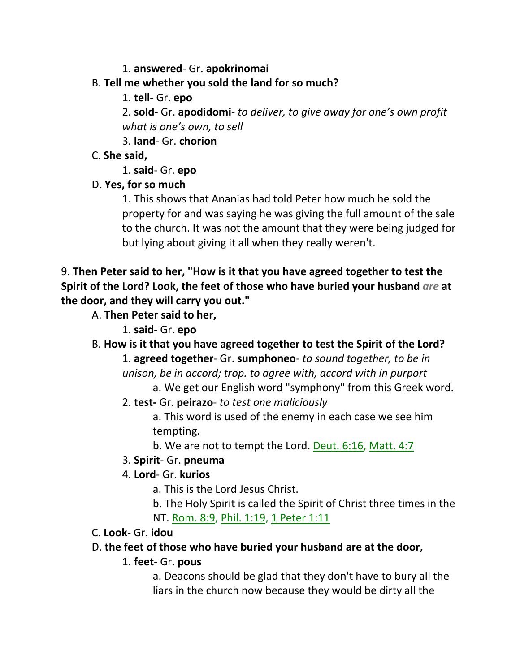## 1. **answered**- Gr. **apokrinomai**

# B. **Tell me whether you sold the land for so much?**

1. **tell**- Gr. **epo**

2. **sold**- Gr. **apodidomi**- *to deliver, to give away for one's own profit what is one's own, to sell*

3. **land**- Gr. **chorion**

# C. **She said,**

1. **said**- Gr. **epo**

# D. **Yes, for so much**

1. This shows that Ananias had told Peter how much he sold the property for and was saying he was giving the full amount of the sale to the church. It was not the amount that they were being judged for but lying about giving it all when they really weren't.

9. **Then Peter said to her, "How is it that you have agreed together to test the Spirit of the Lord? Look, the feet of those who have buried your husband** *are* **at the door, and they will carry you out."** 

- A. **Then Peter said to her,**
	- 1. **said** Gr. **epo**

B. **How is it that you have agreed together to test the Spirit of the Lord?**

- 1. **agreed together** Gr. **sumphoneo** *to sound together, to be in unison, be in accord; trop. to agree with, accord with in purport*
	- a. We get our English word "symphony" from this Greek word.
- 2. **test-** Gr. **peirazo** *to test one maliciously*

a. This word is used of the enemy in each case we see him tempting.

b. We are not to tempt the Lord. Deut. 6:16, Matt. 4:7

# 3. **Spirit**- Gr. **pneuma**

# 4. **Lord**- Gr. **kurios**

a. This is the Lord Jesus Christ.

b. The Holy Spirit is called the Spirit of Christ three times in the NT. Rom. 8:9, Phil. 1:19, 1 Peter 1:11

# C. **Look**- Gr. **idou**

# D. **the feet of those who have buried your husband are at the door,**

# 1. **feet**- Gr. **pous**

a. Deacons should be glad that they don't have to bury all the liars in the church now because they would be dirty all the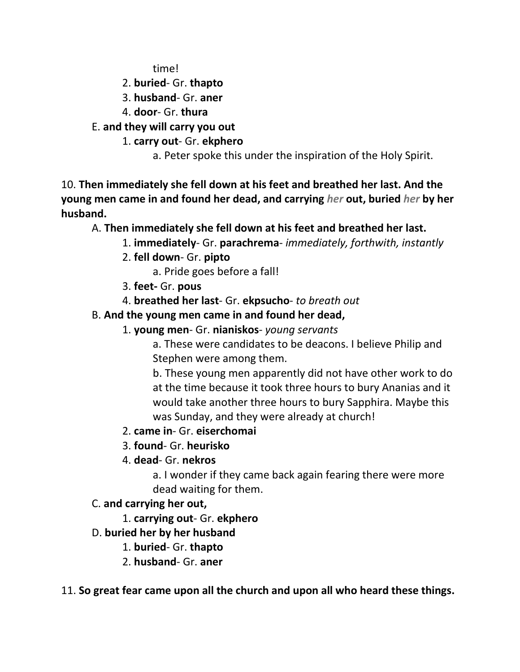time!

- 2. **buried** Gr. **thapto**
- 3. **husband** Gr. **aner**
- 4. **door** Gr. **thura**
- E. **and they will carry you out**
	- 1. **carry out** Gr. **ekphero**
		- a. Peter spoke this under the inspiration of the Holy Spirit.

10. **Then immediately she fell down at his feet and breathed her last. And the young men came in and found her dead, and carrying** *her* **out, buried** *her* **by her husband.** 

A. **Then immediately she fell down at his feet and breathed her last.**

- 1. **immediately** Gr. **parachrema** *immediately, forthwith, instantly*
- 2. **fell down** Gr. **pipto**
	- a. Pride goes before a fall!
- 3. **feet-** Gr. **pous**
- 4. **breathed her last** Gr. **ekpsucho** *to breath out*
- B. **And the young men came in and found her dead,**
	- 1. **young men** Gr. **nianiskos** *young servants*
		- a. These were candidates to be deacons. I believe Philip and Stephen were among them.

b. These young men apparently did not have other work to do at the time because it took three hours to bury Ananias and it would take another three hours to bury Sapphira. Maybe this was Sunday, and they were already at church!

- 2. **came in** Gr. **eiserchomai**
- 3. **found** Gr. **heurisko**
- 4. **dead** Gr. **nekros**

a. I wonder if they came back again fearing there were more dead waiting for them.

- C. **and carrying her out,**
	- 1. **carrying out** Gr. **ekphero**
- D. **buried her by her husband**
	- 1. **buried** Gr. **thapto**
	- 2. **husband** Gr. **aner**
- 11. **So great fear came upon all the church and upon all who heard these things.**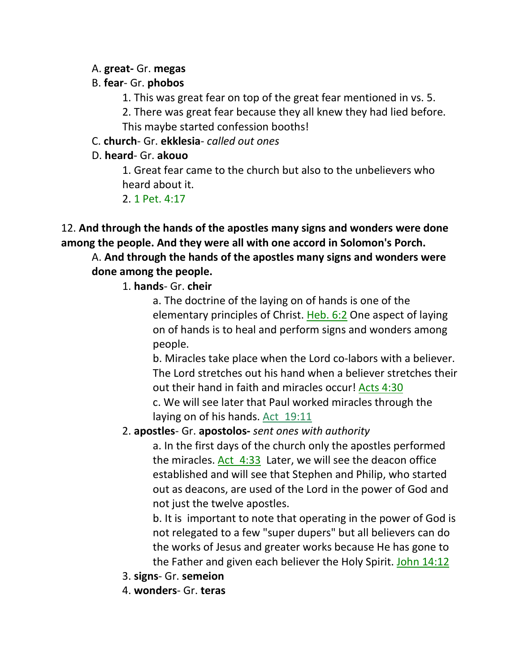## A. **great-** Gr. **megas**

## B. **fear**- Gr. **phobos**

1. This was great fear on top of the great fear mentioned in vs. 5.

2. There was great fear because they all knew they had lied before. This maybe started confession booths!

C. **church**- Gr. **ekklesia**- *called out ones*

# D. **heard**- Gr. **akouo**

1. Great fear came to the church but also to the unbelievers who heard about it.

2. 1 Pet. 4:17

# 12. **And through the hands of the apostles many signs and wonders were done among the people. And they were all with one accord in Solomon's Porch.**

# A. **And through the hands of the apostles many signs and wonders were done among the people.**

# 1. **hands**- Gr. **cheir**

a. The doctrine of the laying on of hands is one of the elementary principles of Christ. Heb. 6:2 One aspect of laying on of hands is to heal and perform signs and wonders among people.

b. Miracles take place when the Lord co-labors with a believer. The Lord stretches out his hand when a believer stretches their out their hand in faith and miracles occur! Acts 4:30 c. We will see later that Paul worked miracles through the laying on of his hands. Act\_19:11

# 2. **apostles**- Gr. **apostolos-** *sent ones with authority*

a. In the first days of the church only the apostles performed the miracles. Act 4:33 Later, we will see the deacon office established and will see that Stephen and Philip, who started out as deacons, are used of the Lord in the power of God and not just the twelve apostles.

b. It is important to note that operating in the power of God is not relegated to a few "super dupers" but all believers can do the works of Jesus and greater works because He has gone to the Father and given each believer the Holy Spirit. John 14:12

- 3. **signs** Gr. **semeion**
- 4. **wonders** Gr. **teras**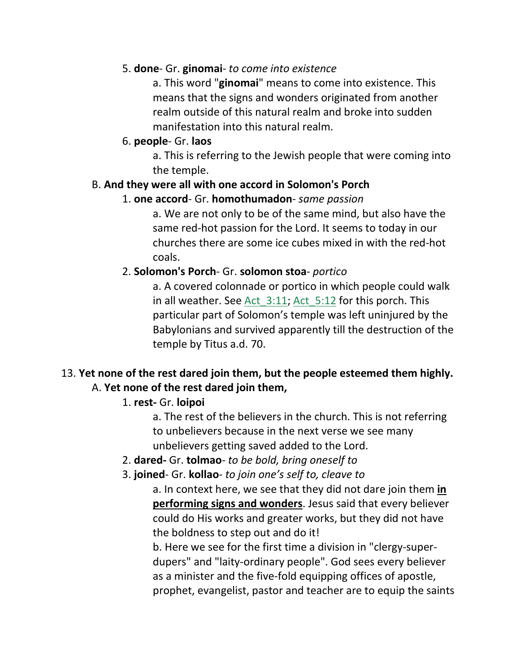## 5. **done**- Gr. **ginomai**- *to come into existence*

a. This word "**ginomai**" means to come into existence. This means that the signs and wonders originated from another realm outside of this natural realm and broke into sudden manifestation into this natural realm.

## 6. **people**- Gr. **laos**

a. This is referring to the Jewish people that were coming into the temple.

## B. **And they were all with one accord in Solomon's Porch**

## 1. **one accord**- Gr. **homothumadon**- *same passion*

a. We are not only to be of the same mind, but also have the same red-hot passion for the Lord. It seems to today in our churches there are some ice cubes mixed in with the red-hot coals.

# 2. **Solomon's Porch**- Gr. **solomon stoa**- *portico*

a. A covered colonnade or portico in which people could walk in all weather. See Act 3:11; Act 5:12 for this porch. This particular part of Solomon's temple was left uninjured by the Babylonians and survived apparently till the destruction of the temple by Titus a.d. 70.

# 13. **Yet none of the rest dared join them, but the people esteemed them highly.**  A. **Yet none of the rest dared join them,**

# 1. **rest-** Gr. **loipoi**

a. The rest of the believers in the church. This is not referring to unbelievers because in the next verse we see many unbelievers getting saved added to the Lord.

# 2. **dared-** Gr. **tolmao**- *to be bold, bring oneself to*

# 3. **joined**- Gr. **kollao**- *to join one's self to, cleave to*

a. In context here, we see that they did not dare join them **in performing signs and wonders**. Jesus said that every believer could do His works and greater works, but they did not have the boldness to step out and do it!

b. Here we see for the first time a division in "clergy-superdupers" and "laity-ordinary people". God sees every believer as a minister and the five-fold equipping offices of apostle, prophet, evangelist, pastor and teacher are to equip the saints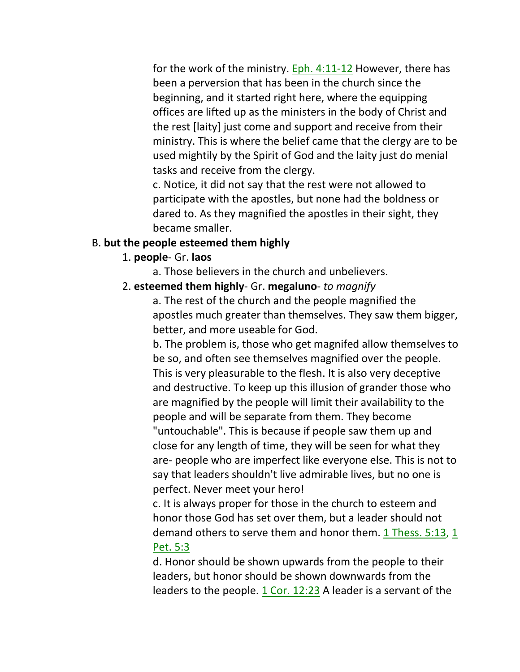for the work of the ministry. Eph. 4:11-12 However, there has been a perversion that has been in the church since the beginning, and it started right here, where the equipping offices are lifted up as the ministers in the body of Christ and the rest [laity] just come and support and receive from their ministry. This is where the belief came that the clergy are to be used mightily by the Spirit of God and the laity just do menial tasks and receive from the clergy.

c. Notice, it did not say that the rest were not allowed to participate with the apostles, but none had the boldness or dared to. As they magnified the apostles in their sight, they became smaller.

## B. **but the people esteemed them highly**

- 1. **people** Gr. **laos**
	- a. Those believers in the church and unbelievers.
- 2. **esteemed them highly** Gr. **megaluno** *to magnify*

a. The rest of the church and the people magnified the apostles much greater than themselves. They saw them bigger, better, and more useable for God.

b. The problem is, those who get magnifed allow themselves to be so, and often see themselves magnified over the people. This is very pleasurable to the flesh. It is also very deceptive and destructive. To keep up this illusion of grander those who are magnified by the people will limit their availability to the people and will be separate from them. They become "untouchable". This is because if people saw them up and close for any length of time, they will be seen for what they are- people who are imperfect like everyone else. This is not to say that leaders shouldn't live admirable lives, but no one is perfect. Never meet your hero!

c. It is always proper for those in the church to esteem and honor those God has set over them, but a leader should not demand others to serve them and honor them. 1 Thess. 5:13, 1 Pet. 5:3

d. Honor should be shown upwards from the people to their leaders, but honor should be shown downwards from the leaders to the people. 1 Cor. 12:23 A leader is a servant of the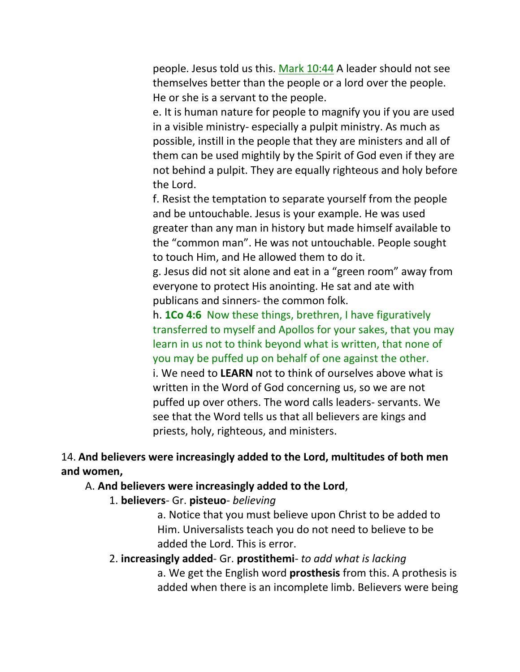people. Jesus told us this. Mark 10:44 A leader should not see themselves better than the people or a lord over the people. He or she is a servant to the people.

e. It is human nature for people to magnify you if you are used in a visible ministry- especially a pulpit ministry. As much as possible, instill in the people that they are ministers and all of them can be used mightily by the Spirit of God even if they are not behind a pulpit. They are equally righteous and holy before the Lord.

f. Resist the temptation to separate yourself from the people and be untouchable. Jesus is your example. He was used greater than any man in history but made himself available to the "common man". He was not untouchable. People sought to touch Him, and He allowed them to do it.

g. Jesus did not sit alone and eat in a "green room" away from everyone to protect His anointing. He sat and ate with publicans and sinners- the common folk.

h. **1Co 4:6** Now these things, brethren, I have figuratively transferred to myself and Apollos for your sakes, that you may learn in us not to think beyond what is written, that none of you may be puffed up on behalf of one against the other. i. We need to **LEARN** not to think of ourselves above what is written in the Word of God concerning us, so we are not puffed up over others. The word calls leaders- servants. We see that the Word tells us that all believers are kings and priests, holy, righteous, and ministers.

14. **And believers were increasingly added to the Lord, multitudes of both men and women,** 

#### A. **And believers were increasingly added to the Lord**,

1. **believers**- Gr. **pisteuo**- *believing*

a. Notice that you must believe upon Christ to be added to Him. Universalists teach you do not need to believe to be added the Lord. This is error.

## 2. **increasingly added**- Gr. **prostithemi**- *to add what is lacking* a. We get the English word **prosthesis** from this. A prothesis is added when there is an incomplete limb. Believers were being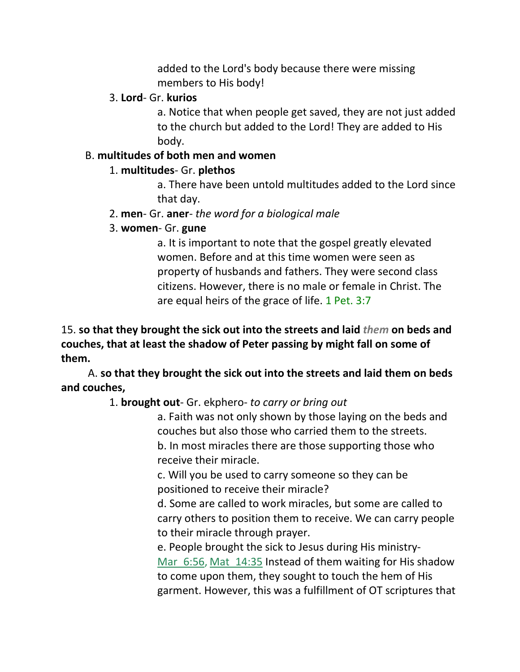added to the Lord's body because there were missing members to His body!

#### 3. **Lord**- Gr. **kurios**

a. Notice that when people get saved, they are not just added to the church but added to the Lord! They are added to His body.

#### B. **multitudes of both men and women**

## 1. **multitudes**- Gr. **plethos**

a. There have been untold multitudes added to the Lord since that day.

## 2. **men**- Gr. **aner**- *the word for a biological male*

## 3. **women**- Gr. **gune**

a. It is important to note that the gospel greatly elevated women. Before and at this time women were seen as property of husbands and fathers. They were second class citizens. However, there is no male or female in Christ. The are equal heirs of the grace of life. 1 Pet. 3:7

15. **so that they brought the sick out into the streets and laid** *them* **on beds and couches, that at least the shadow of Peter passing by might fall on some of them.** 

A. **so that they brought the sick out into the streets and laid them on beds and couches,**

# 1. **brought out**- Gr. ekphero- *to carry or bring out*

a. Faith was not only shown by those laying on the beds and couches but also those who carried them to the streets. b. In most miracles there are those supporting those who receive their miracle.

c. Will you be used to carry someone so they can be positioned to receive their miracle?

d. Some are called to work miracles, but some are called to carry others to position them to receive. We can carry people to their miracle through prayer.

e. People brought the sick to Jesus during His ministry-Mar 6:56, Mat 14:35 Instead of them waiting for His shadow to come upon them, they sought to touch the hem of His garment. However, this was a fulfillment of OT scriptures that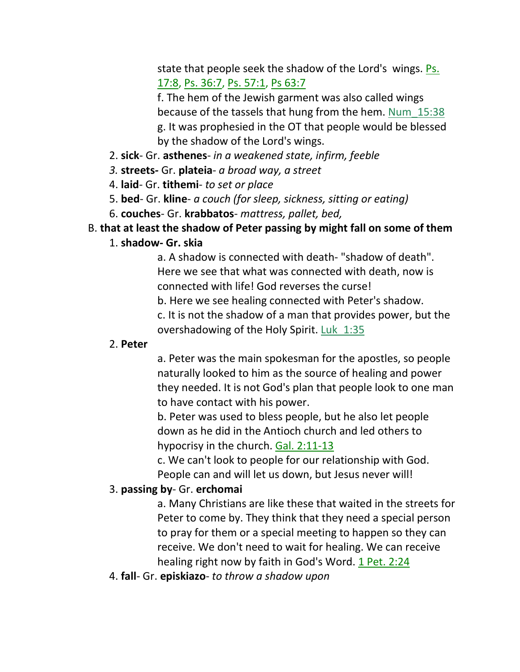state that people seek the shadow of the Lord's wings. Ps. 17:8, Ps. 36:7, Ps. 57:1, Ps 63:7

f. The hem of the Jewish garment was also called wings because of the tassels that hung from the hem. Num\_15:38 g. It was prophesied in the OT that people would be blessed by the shadow of the Lord's wings.

- 2. **sick** Gr. **asthenes** *in a weakened state, infirm, feeble*
- *3.* **streets***-* Gr. **plateia***- a broad way, a street*
- 4. **laid** Gr. **tithemi** *to set or place*
- 5. **bed** Gr. **kline** *a couch (for sleep, sickness, sitting or eating)*
- 6. **couches** Gr. **krabbatos** *mattress, pallet, bed,*

## B. **that at least the shadow of Peter passing by might fall on some of them**

#### 1. **shadow- Gr. skia**

a. A shadow is connected with death- "shadow of death". Here we see that what was connected with death, now is connected with life! God reverses the curse!

b. Here we see healing connected with Peter's shadow.

c. It is not the shadow of a man that provides power, but the overshadowing of the Holy Spirit. Luk\_1:35

#### 2. **Peter**

a. Peter was the main spokesman for the apostles, so people naturally looked to him as the source of healing and power they needed. It is not God's plan that people look to one man to have contact with his power.

b. Peter was used to bless people, but he also let people down as he did in the Antioch church and led others to hypocrisy in the church. Gal. 2:11-13

c. We can't look to people for our relationship with God. People can and will let us down, but Jesus never will!

## 3. **passing by**- Gr. **erchomai**

a. Many Christians are like these that waited in the streets for Peter to come by. They think that they need a special person to pray for them or a special meeting to happen so they can receive. We don't need to wait for healing. We can receive healing right now by faith in God's Word. 1 Pet. 2:24

4. **fall**- Gr. **episkiazo**- *to throw a shadow upon*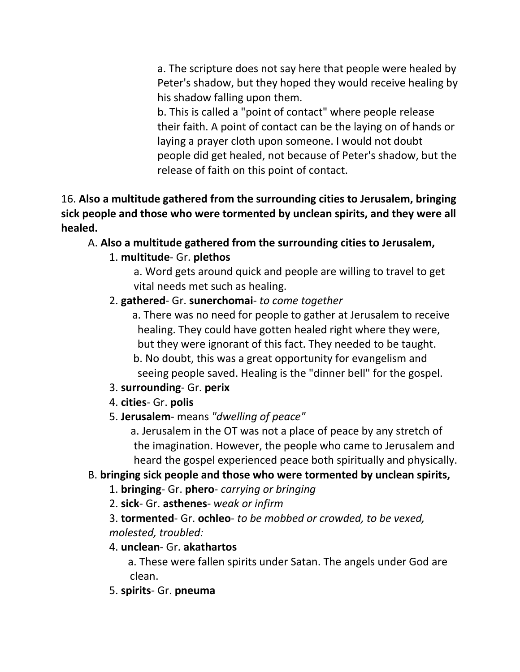a. The scripture does not say here that people were healed by Peter's shadow, but they hoped they would receive healing by his shadow falling upon them.

b. This is called a "point of contact" where people release their faith. A point of contact can be the laying on of hands or laying a prayer cloth upon someone. I would not doubt people did get healed, not because of Peter's shadow, but the release of faith on this point of contact.

# 16. **Also a multitude gathered from the surrounding cities to Jerusalem, bringing sick people and those who were tormented by unclean spirits, and they were all healed.**

# A. **Also a multitude gathered from the surrounding cities to Jerusalem,**

# 1. **multitude**- Gr. **plethos**

 a. Word gets around quick and people are willing to travel to get vital needs met such as healing.

# 2. **gathered**- Gr. **sunerchomai**- *to come together*

 a. There was no need for people to gather at Jerusalem to receive healing. They could have gotten healed right where they were, but they were ignorant of this fact. They needed to be taught. b. No doubt, this was a great opportunity for evangelism and seeing people saved. Healing is the "dinner bell" for the gospel.

# 3. **surrounding**- Gr. **perix**

4. **cities**- Gr. **polis**

# 5. **Jerusalem**- means *"dwelling of peace"*

 a. Jerusalem in the OT was not a place of peace by any stretch of the imagination. However, the people who came to Jerusalem and heard the gospel experienced peace both spiritually and physically.

# B. **bringing sick people and those who were tormented by unclean spirits,**

- 1. **bringing** Gr. **phero** *carrying or bringing*
- 2. **sick** Gr. **asthenes** *weak or infirm*
- 3. **tormented** Gr. **ochleo** *to be mobbed or crowded, to be vexed, molested, troubled:*

# 4. **unclean**- Gr. **akathartos**

 a. These were fallen spirits under Satan. The angels under God are clean.

5. **spirits**- Gr. **pneuma**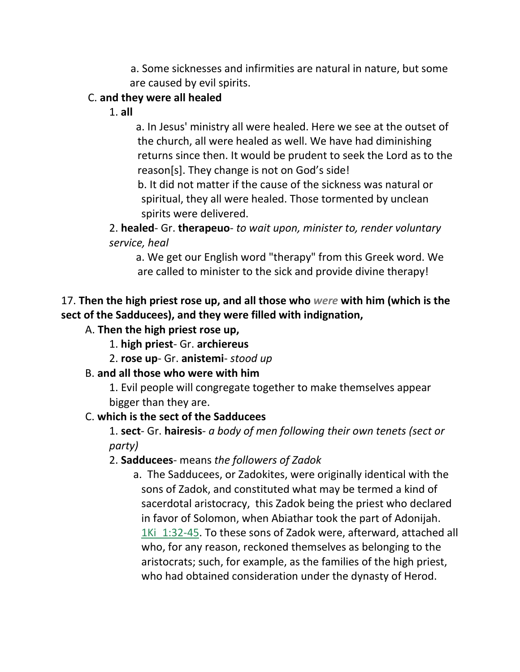a. Some sicknesses and infirmities are natural in nature, but some are caused by evil spirits.

## C. **and they were all healed**

1. **all**

 a. In Jesus' ministry all were healed. Here we see at the outset of the church, all were healed as well. We have had diminishing returns since then. It would be prudent to seek the Lord as to the reason[s]. They change is not on God's side!

 b. It did not matter if the cause of the sickness was natural or spiritual, they all were healed. Those tormented by unclean spirits were delivered.

2. **healed**- Gr. **therapeuo**- *to wait upon, minister to, render voluntary service, heal*

a. We get our English word "therapy" from this Greek word. We are called to minister to the sick and provide divine therapy!

# 17. **Then the high priest rose up, and all those who** *were* **with him (which is the sect of the Sadducees), and they were filled with indignation,**

## A. **Then the high priest rose up,**

- 1. **high priest** Gr. **archiereus**
- 2. **rose up** Gr. **anistemi** *stood up*

## B. **and all those who were with him**

1. Evil people will congregate together to make themselves appear bigger than they are.

## C. **which is the sect of the Sadducees**

1. **sect**- Gr. **hairesis**- *a body of men following their own tenets (sect or party)*

## 2. **Sadducees**- means *the followers of Zadok*

 a. The Sadducees, or Zadokites, were originally identical with the sons of Zadok, and constituted what may be termed a kind of sacerdotal aristocracy, this Zadok being the priest who declared in favor of Solomon, when Abiathar took the part of Adonijah. 1Ki 1:32-45. To these sons of Zadok were, afterward, attached all who, for any reason, reckoned themselves as belonging to the aristocrats; such, for example, as the families of the high priest, who had obtained consideration under the dynasty of Herod.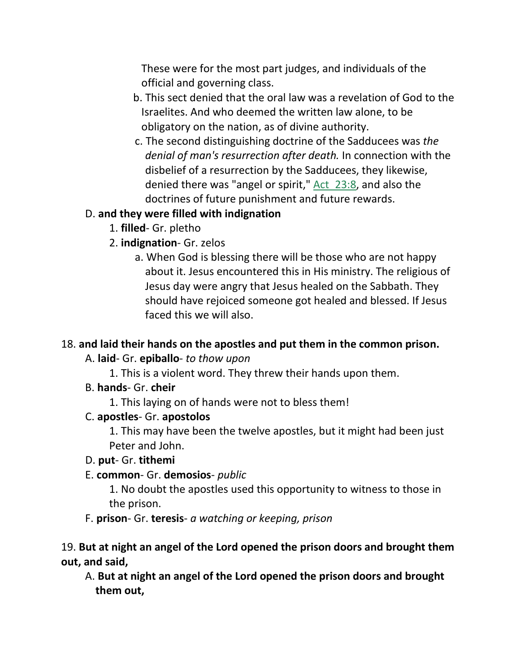These were for the most part judges, and individuals of the official and governing class.

- b. This sect denied that the oral law was a revelation of God to the Israelites. And who deemed the written law alone, to be obligatory on the nation, as of divine authority.
- c. The second distinguishing doctrine of the Sadducees was *the denial of man's resurrection after death.* In connection with the disbelief of a resurrection by the Sadducees, they likewise, denied there was "angel or spirit," Act 23:8, and also the doctrines of future punishment and future rewards.

## D. **and they were filled with indignation**

- 1. **filled** Gr. pletho
- 2. **indignation** Gr. zelos
	- a. When God is blessing there will be those who are not happy about it. Jesus encountered this in His ministry. The religious of Jesus day were angry that Jesus healed on the Sabbath. They should have rejoiced someone got healed and blessed. If Jesus faced this we will also.

# 18. **and laid their hands on the apostles and put them in the common prison.**

# A. **laid**- Gr. **epiballo**- *to thow upon*

- 1. This is a violent word. They threw their hands upon them.
- B. **hands** Gr. **cheir**
	- 1. This laying on of hands were not to bless them!

## C. **apostles**- Gr. **apostolos**

1. This may have been the twelve apostles, but it might had been just Peter and John.

## D. **put**- Gr. **tithemi**

# E. **common**- Gr. **demosios**- *public*

1. No doubt the apostles used this opportunity to witness to those in the prison.

F. **prison**- Gr. **teresis**- *a watching or keeping, prison*

# 19. **But at night an angel of the Lord opened the prison doors and brought them out, and said,**

 A. **But at night an angel of the Lord opened the prison doors and brought them out,**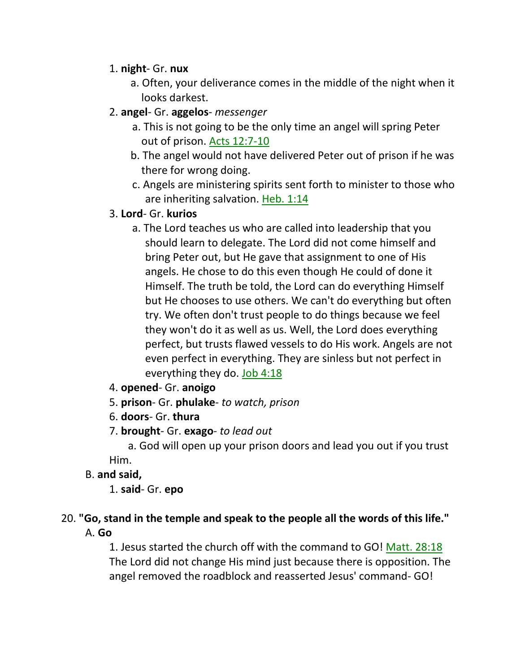## 1. **night**- Gr. **nux**

- a. Often, your deliverance comes in the middle of the night when it looks darkest.
- 2. **angel** Gr. **aggelos** *messenger*
	- a. This is not going to be the only time an angel will spring Peter out of prison. Acts 12:7-10
	- b. The angel would not have delivered Peter out of prison if he was there for wrong doing.
	- c. Angels are ministering spirits sent forth to minister to those who are inheriting salvation. Heb. 1:14
- 3. **Lord** Gr. **kurios**
	- a. The Lord teaches us who are called into leadership that you should learn to delegate. The Lord did not come himself and bring Peter out, but He gave that assignment to one of His angels. He chose to do this even though He could of done it Himself. The truth be told, the Lord can do everything Himself but He chooses to use others. We can't do everything but often try. We often don't trust people to do things because we feel they won't do it as well as us. Well, the Lord does everything perfect, but trusts flawed vessels to do His work. Angels are not even perfect in everything. They are sinless but not perfect in everything they do. Job 4:18
- 4. **opened** Gr. **anoigo**
- 5. **prison** Gr. **phulake** *to watch, prison*
- 6. **doors** Gr. **thura**
- 7. **brought** Gr. **exago** *to lead out*

 a. God will open up your prison doors and lead you out if you trust Him.

## B. **and said,**

1. **said**- Gr. **epo**

# 20. **"Go, stand in the temple and speak to the people all the words of this life."**  A. **Go**

1. Jesus started the church off with the command to GO! Matt. 28:18 The Lord did not change His mind just because there is opposition. The angel removed the roadblock and reasserted Jesus' command- GO!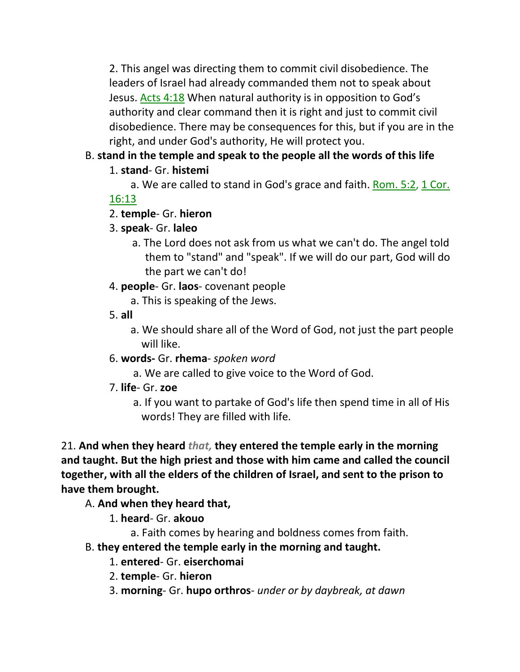2. This angel was directing them to commit civil disobedience. The leaders of Israel had already commanded them not to speak about Jesus. Acts 4:18 When natural authority is in opposition to God's authority and clear command then it is right and just to commit civil disobedience. There may be consequences for this, but if you are in the right, and under God's authority, He will protect you.

# B. **stand in the temple and speak to the people all the words of this life**

# 1. **stand**- Gr. **histemi**

a. We are called to stand in God's grace and faith. Rom. 5:2, 1 Cor.

# 16:13

# 2. **temple**- Gr. **hieron**

# 3. **speak**- Gr. **laleo**

 a. The Lord does not ask from us what we can't do. The angel told them to "stand" and "speak". If we will do our part, God will do the part we can't do!

# 4. **people**- Gr. **laos**- covenant people

a. This is speaking of the Jews.

5. **all**

 a. We should share all of the Word of God, not just the part people will like.

# 6. **words-** Gr. **rhema**- *spoken word*

- a. We are called to give voice to the Word of God.
- 7. **life** Gr. **zoe**
	- a. If you want to partake of God's life then spend time in all of His words! They are filled with life.

21. **And when they heard** *that,* **they entered the temple early in the morning and taught. But the high priest and those with him came and called the council together, with all the elders of the children of Israel, and sent to the prison to have them brought.** 

# A. **And when they heard that,**

1. **heard**- Gr. **akouo**

a. Faith comes by hearing and boldness comes from faith.

# B. **they entered the temple early in the morning and taught.**

- 1. **entered** Gr. **eiserchomai**
- 2. **temple** Gr. **hieron**
- 3. **morning** Gr. **hupo orthros** *under or by daybreak, at dawn*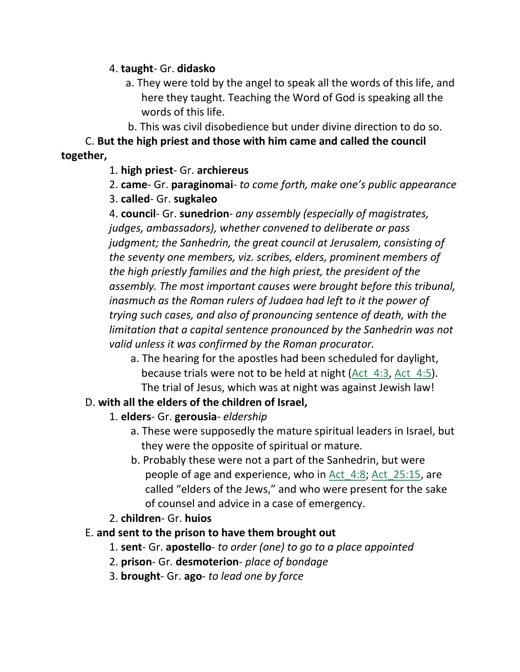## 4. **taught**- Gr. **didasko**

- a. They were told by the angel to speak all the words of this life, and here they taught. Teaching the Word of God is speaking all the words of this life.
- b. This was civil disobedience but under divine direction to do so.

C. **But the high priest and those with him came and called the council together,**

# 1. **high priest**- Gr. **archiereus**

2. **came**- Gr. **paraginomai**- *to come forth, make one's public appearance*

3. **called**- Gr. **sugkaleo**

4. **council**- Gr. **sunedrion**- *any assembly (especially of magistrates, judges, ambassadors), whether convened to deliberate or pass judgment; the Sanhedrin, the great council at Jerusalem, consisting of the seventy one members, viz. scribes, elders, prominent members of the high priestly families and the high priest, the president of the assembly. The most important causes were brought before this tribunal, inasmuch as the Roman rulers of Judaea had left to it the power of trying such cases, and also of pronouncing sentence of death, with the limitation that a capital sentence pronounced by the Sanhedrin was not valid unless it was confirmed by the Roman procurator.*

 a. The hearing for the apostles had been scheduled for daylight, because trials were not to be held at night (Act\_4:3, Act\_4:5). The trial of Jesus, which was at night was against Jewish law!

# D. **with all the elders of the children of Israel,**

- 1. **elders** Gr. **gerousia** *eldership*
	- a. These were supposedly the mature spiritual leaders in Israel, but they were the opposite of spiritual or mature.
	- b. Probably these were not a part of the Sanhedrin, but were people of age and experience, who in Act\_4:8; Act\_25:15, are called "elders of the Jews," and who were present for the sake of counsel and advice in a case of emergency.
- 2. **children** Gr. **huios**

# E. **and sent to the prison to have them brought out**

- 1. **sent** Gr. **apostello** *to order (one) to go to a place appointed*
- 2. **prison** Gr. **desmoterion** *place of bondage*
- 3. **brought** Gr. **ago** *to lead one by force*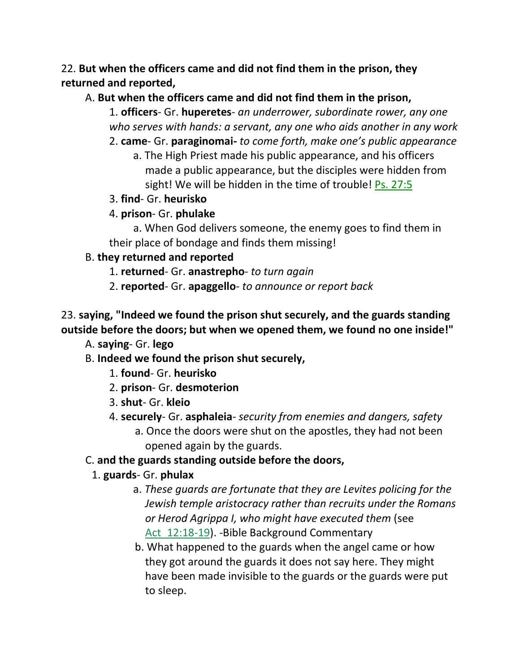# 22. **But when the officers came and did not find them in the prison, they returned and reported,**

# A. **But when the officers came and did not find them in the prison,**

1. **officers**- Gr. **huperetes**- *an underrower, subordinate rower, any one who serves with hands: a servant, any one who aids another in any work*

- 2. **came** Gr. **paraginomai-** *to come forth, make one's public appearance*
	- a. The High Priest made his public appearance, and his officers made a public appearance, but the disciples were hidden from sight! We will be hidden in the time of trouble! Ps. 27:5
- 3. **find** Gr. **heurisko**
- 4. **prison** Gr. **phulake**

 a. When God delivers someone, the enemy goes to find them in their place of bondage and finds them missing!

# B. **they returned and reported**

- 1. **returned** Gr. **anastrepho** *to turn again*
- 2. **reported** Gr. **apaggello** *to announce or report back*

# 23. **saying, "Indeed we found the prison shut securely, and the guards standing outside before the doors; but when we opened them, we found no one inside!"**

A. **saying**- Gr. **lego**

- B. **Indeed we found the prison shut securely,**
	- 1. **found** Gr. **heurisko**
	- 2. **prison** Gr. **desmoterion**
	- 3. **shut** Gr. **kleio**
	- 4. **securely** Gr. **asphaleia** *security from enemies and dangers, safety*
		- a. Once the doors were shut on the apostles, they had not been opened again by the guards.

# C. **and the guards standing outside before the doors,**

- 1. **guards** Gr. **phulax**
	- a. *These guards are fortunate that they are Levites policing for the Jewish temple aristocracy rather than recruits under the Romans or Herod Agrippa I, who might have executed them* (see Act 12:18-19). -Bible Background Commentary
	- b. What happened to the guards when the angel came or how they got around the guards it does not say here. They might have been made invisible to the guards or the guards were put to sleep.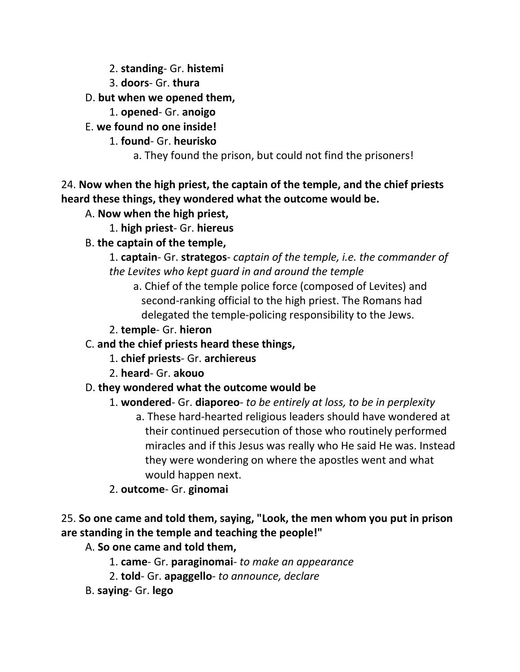- 2. **standing** Gr. **histemi**
- 3. **doors** Gr. **thura**

# D. **but when we opened them,**

- 1. **opened** Gr. **anoigo**
- E. **we found no one inside!**
	- 1. **found** Gr. **heurisko**
		- a. They found the prison, but could not find the prisoners!

# 24. **Now when the high priest, the captain of the temple, and the chief priests heard these things, they wondered what the outcome would be.**

- A. **Now when the high priest,**
	- 1. **high priest** Gr. **hiereus**

# B. **the captain of the temple,**

# 1. **captain**- Gr. **strategos**- *captain of the temple, i.e. the commander of the Levites who kept guard in and around the temple*

 a. Chief of the temple police force (composed of Levites) and second-ranking official to the high priest. The Romans had delegated the temple-policing responsibility to the Jews.

# 2. **temple**- Gr. **hieron**

# C. **and the chief priests heard these things,**

- 1. **chief priests** Gr. **archiereus**
- 2. **heard** Gr. **akouo**

# D. **they wondered what the outcome would be**

# 1. **wondered**- Gr. **diaporeo**- *to be entirely at loss, to be in perplexity* a. These hard-hearted religious leaders should have wondered at

their continued persecution of those who routinely performed miracles and if this Jesus was really who He said He was. Instead they were wondering on where the apostles went and what would happen next.

# 2. **outcome**- Gr. **ginomai**

# 25. **So one came and told them, saying, "Look, the men whom you put in prison are standing in the temple and teaching the people!"**

# A. **So one came and told them,**

- 1. **came** Gr. **paraginomai** *to make an appearance*
- 2. **told** Gr. **apaggello** *to announce, declare*
- B. **saying** Gr. **lego**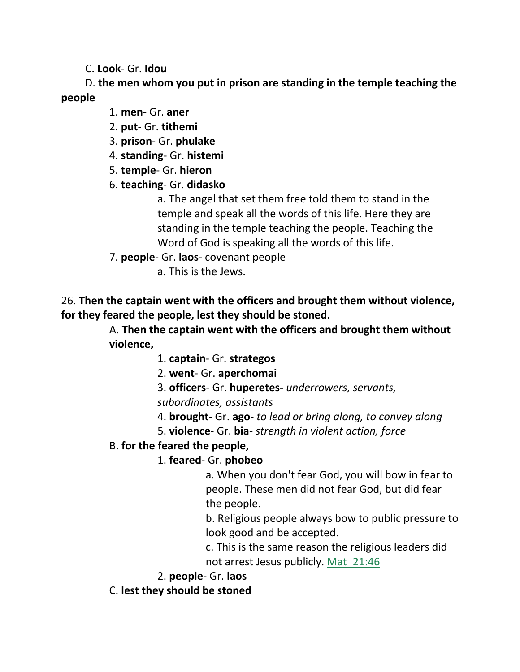C. **Look**- Gr. **Idou**

 D. **the men whom you put in prison are standing in the temple teaching the people**

1. **men**- Gr. **aner**

2. **put**- Gr. **tithemi**

3. **prison**- Gr. **phulake**

4. **standing**- Gr. **histemi**

5. **temple**- Gr. **hieron**

6. **teaching**- Gr. **didasko**

a. The angel that set them free told them to stand in the temple and speak all the words of this life. Here they are standing in the temple teaching the people. Teaching the Word of God is speaking all the words of this life.

7. **people**- Gr. **laos**- covenant people

a. This is the Jews.

26. **Then the captain went with the officers and brought them without violence, for they feared the people, lest they should be stoned.**

> A. **Then the captain went with the officers and brought them without violence,**

> > 1. **captain**- Gr. **strategos**

2. **went**- Gr. **aperchomai**

3. **officers**- Gr. **huperetes-** *underrowers, servants,* 

*subordinates, assistants*

4. **brought**- Gr. **ago**- *to lead or bring along, to convey along*

5. **violence**- Gr. **bia**- *strength in violent action, force*

## B. **for the feared the people,**

# 1. **feared**- Gr. **phobeo**

a. When you don't fear God, you will bow in fear to people. These men did not fear God, but did fear the people.

b. Religious people always bow to public pressure to look good and be accepted.

c. This is the same reason the religious leaders did not arrest Jesus publicly. Mat\_21:46

2. **people**- Gr. **laos**

C. **lest they should be stoned**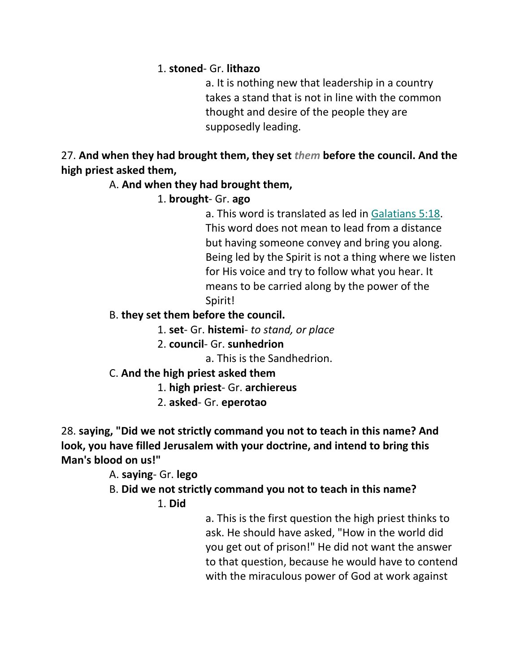## 1. **stoned**- Gr. **lithazo**

a. It is nothing new that leadership in a country takes a stand that is not in line with the common thought and desire of the people they are supposedly leading.

27. **And when they had brought them, they set** *them* **before the council. And the high priest asked them,** 

## A. **And when they had brought them,**

# 1. **brought**- Gr. **ago**

a. This word is translated as led in Galatians 5:18. This word does not mean to lead from a distance but having someone convey and bring you along. Being led by the Spirit is not a thing where we listen for His voice and try to follow what you hear. It means to be carried along by the power of the Spirit!

## B. **they set them before the council.**

1. **set**- Gr. **histemi**- *to stand, or place*

2. **council**- Gr. **sunhedrion**

a. This is the Sandhedrion.

# C. **And the high priest asked them**

1. **high priest**- Gr. **archiereus**

2. **asked**- Gr. **eperotao**

28. **saying, "Did we not strictly command you not to teach in this name? And look, you have filled Jerusalem with your doctrine, and intend to bring this Man's blood on us!"** 

# A. **saying**- Gr. **lego**

B. **Did we not strictly command you not to teach in this name?**

# 1. **Did**

a. This is the first question the high priest thinks to ask. He should have asked, "How in the world did you get out of prison!" He did not want the answer to that question, because he would have to contend with the miraculous power of God at work against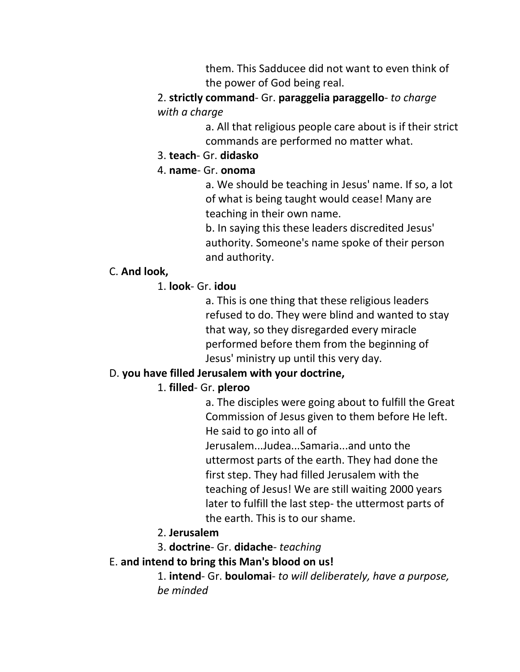them. This Sadducee did not want to even think of the power of God being real.

2. **strictly command**- Gr. **paraggelia paraggello**- *to charge with a charge*

> a. All that religious people care about is if their strict commands are performed no matter what.

#### 3. **teach**- Gr. **didasko**

## 4. **name**- Gr. **onoma**

a. We should be teaching in Jesus' name. If so, a lot of what is being taught would cease! Many are teaching in their own name.

b. In saying this these leaders discredited Jesus' authority. Someone's name spoke of their person and authority.

#### C. **And look,**

## 1. **look**- Gr. **idou**

a. This is one thing that these religious leaders refused to do. They were blind and wanted to stay that way, so they disregarded every miracle performed before them from the beginning of Jesus' ministry up until this very day.

## D. **you have filled Jerusalem with your doctrine,**

# 1. **filled**- Gr. **pleroo**

a. The disciples were going about to fulfill the Great Commission of Jesus given to them before He left. He said to go into all of

Jerusalem...Judea...Samaria...and unto the uttermost parts of the earth. They had done the first step. They had filled Jerusalem with the teaching of Jesus! We are still waiting 2000 years later to fulfill the last step- the uttermost parts of the earth. This is to our shame.

## 2. **Jerusalem**

3. **doctrine**- Gr. **didache**- *teaching*

## E. **and intend to bring this Man's blood on us!**

1. **intend**- Gr. **boulomai**- *to will deliberately, have a purpose, be minded*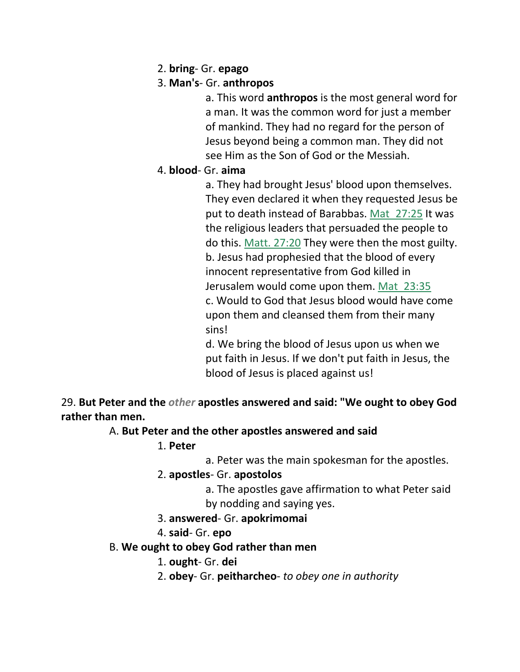2. **bring**- Gr. **epago**

# 3. **Man's**- Gr. **anthropos**

a. This word **anthropos** is the most general word for a man. It was the common word for just a member of mankind. They had no regard for the person of Jesus beyond being a common man. They did not see Him as the Son of God or the Messiah.

## 4. **blood**- Gr. **aima**

a. They had brought Jesus' blood upon themselves. They even declared it when they requested Jesus be put to death instead of Barabbas. Mat 27:25 It was the religious leaders that persuaded the people to do this. Matt. 27:20 They were then the most guilty. b. Jesus had prophesied that the blood of every innocent representative from God killed in Jerusalem would come upon them. Mat\_23:35 c. Would to God that Jesus blood would have come upon them and cleansed them from their many sins!

d. We bring the blood of Jesus upon us when we put faith in Jesus. If we don't put faith in Jesus, the blood of Jesus is placed against us!

29. **But Peter and the** *other* **apostles answered and said: "We ought to obey God rather than men.** 

## A. **But Peter and the other apostles answered and said**

## 1. **Peter**

a. Peter was the main spokesman for the apostles.

## 2. **apostles**- Gr. **apostolos**

a. The apostles gave affirmation to what Peter said by nodding and saying yes.

## 3. **answered**- Gr. **apokrimomai**

# 4. **said**- Gr. **epo**

## B. **We ought to obey God rather than men**

# 1. **ought**- Gr. **dei**

2. **obey**- Gr. **peitharcheo**- *to obey one in authority*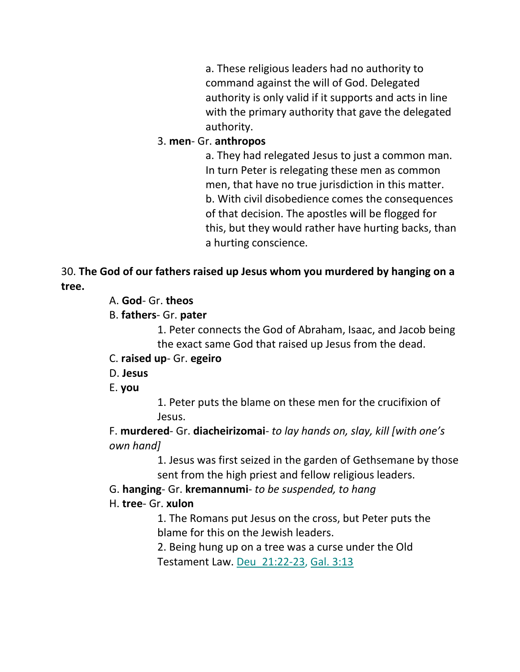a. These religious leaders had no authority to command against the will of God. Delegated authority is only valid if it supports and acts in line with the primary authority that gave the delegated authority.

## 3. **men**- Gr. **anthropos**

a. They had relegated Jesus to just a common man. In turn Peter is relegating these men as common men, that have no true jurisdiction in this matter. b. With civil disobedience comes the consequences of that decision. The apostles will be flogged for this, but they would rather have hurting backs, than a hurting conscience.

# 30. **The God of our fathers raised up Jesus whom you murdered by hanging on a tree.**

## A. **God**- Gr. **theos**

# B. **fathers**- Gr. **pater**

1. Peter connects the God of Abraham, Isaac, and Jacob being the exact same God that raised up Jesus from the dead.

## C. **raised up**- Gr. **egeiro**

## D. **Jesus**

## E. **you**

1. Peter puts the blame on these men for the crucifixion of Jesus.

F. **murdered**- Gr. **diacheirizomai**- *to lay hands on, slay, kill [with one's own hand]*

> 1. Jesus was first seized in the garden of Gethsemane by those sent from the high priest and fellow religious leaders.

## G. **hanging**- Gr. **kremannumi**- *to be suspended, to hang*

## H. **tree**- Gr. **xulon**

1. The Romans put Jesus on the cross, but Peter puts the blame for this on the Jewish leaders.

2. Being hung up on a tree was a curse under the Old Testament Law. Deu\_21:22-23, Gal. 3:13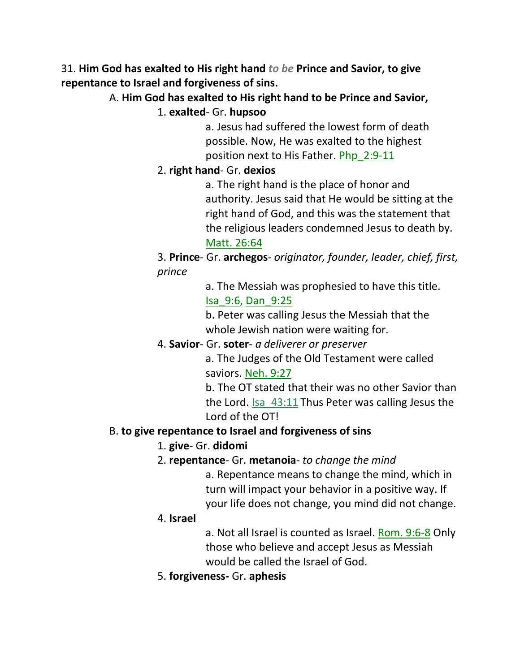31. **Him God has exalted to His right hand** *to be* **Prince and Savior, to give repentance to Israel and forgiveness of sins.** 

A. **Him God has exalted to His right hand to be Prince and Savior,**

1. **exalted**- Gr. **hupsoo**

a. Jesus had suffered the lowest form of death possible. Now, He was exalted to the highest position next to His Father. Php\_2:9-11

# 2. **right hand**- Gr. **dexios**

a. The right hand is the place of honor and authority. Jesus said that He would be sitting at the right hand of God, and this was the statement that the religious leaders condemned Jesus to death by. Matt. 26:64

3. **Prince**- Gr. **archegos**- *originator, founder, leader, chief, first, prince*

> a. The Messiah was prophesied to have this title. Isa\_9:6, Dan\_9:25

b. Peter was calling Jesus the Messiah that the whole Jewish nation were waiting for.

4. **Savior**- Gr. **soter**- *a deliverer or preserver*

a. The Judges of the Old Testament were called saviors. Neh. 9:27

b. The OT stated that their was no other Savior than the Lord. Isa\_43:11 Thus Peter was calling Jesus the Lord of the OT!

## B. **to give repentance to Israel and forgiveness of sins**

# 1. **give**- Gr. **didomi**

## 2. **repentance**- Gr. **metanoia**- *to change the mind*

a. Repentance means to change the mind, which in turn will impact your behavior in a positive way. If your life does not change, you mind did not change.

## 4. **Israel**

a. Not all Israel is counted as Israel. Rom. 9:6-8 Only those who believe and accept Jesus as Messiah would be called the Israel of God.

5. **forgiveness-** Gr. **aphesis**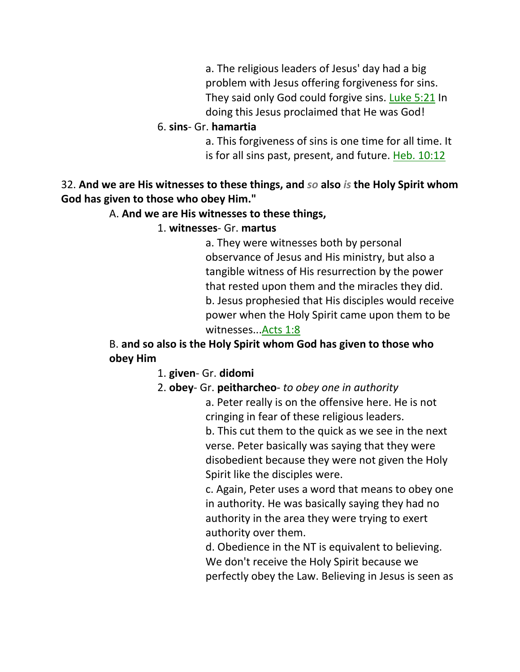a. The religious leaders of Jesus' day had a big problem with Jesus offering forgiveness for sins. They said only God could forgive sins. Luke 5:21 In doing this Jesus proclaimed that He was God!

#### 6. **sins**- Gr. **hamartia**

a. This forgiveness of sins is one time for all time. It is for all sins past, present, and future. Heb. 10:12

## 32. **And we are His witnesses to these things, and** *so* **also** *is* **the Holy Spirit whom God has given to those who obey Him."**

#### A. **And we are His witnesses to these things,**

#### 1. **witnesses**- Gr. **martus**

a. They were witnesses both by personal observance of Jesus and His ministry, but also a tangible witness of His resurrection by the power that rested upon them and the miracles they did. b. Jesus prophesied that His disciples would receive power when the Holy Spirit came upon them to be witnesses...Acts 1:8

# B. **and so also is the Holy Spirit whom God has given to those who obey Him**

#### 1. **given**- Gr. **didomi**

#### 2. **obey**- Gr. **peitharcheo**- *to obey one in authority*

a. Peter really is on the offensive here. He is not cringing in fear of these religious leaders.

b. This cut them to the quick as we see in the next verse. Peter basically was saying that they were disobedient because they were not given the Holy Spirit like the disciples were.

c. Again, Peter uses a word that means to obey one in authority. He was basically saying they had no authority in the area they were trying to exert authority over them.

d. Obedience in the NT is equivalent to believing. We don't receive the Holy Spirit because we perfectly obey the Law. Believing in Jesus is seen as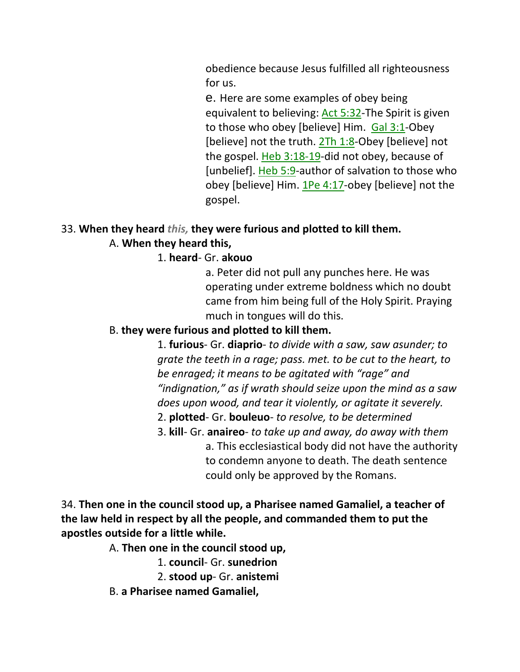obedience because Jesus fulfilled all righteousness for us.

e. Here are some examples of obey being equivalent to believing: Act 5:32-The Spirit is given to those who obey [believe] Him. Gal 3:1-Obey [believe] not the truth.  $2Th 1:8$ -Obey [believe] not the gospel. Heb 3:18-19-did not obey, because of [unbelief]. Heb 5:9-author of salvation to those who obey [believe] Him. 1Pe 4:17-obey [believe] not the gospel.

## 33. **When they heard** *this,* **they were furious and plotted to kill them.**

#### A. **When they heard this,**

1. **heard**- Gr. **akouo**

a. Peter did not pull any punches here. He was operating under extreme boldness which no doubt came from him being full of the Holy Spirit. Praying much in tongues will do this.

#### B. **they were furious and plotted to kill them.**

1. **furious**- Gr. **diaprio**- *to divide with a saw, saw asunder; to grate the teeth in a rage; pass. met. to be cut to the heart, to be enraged; it means to be agitated with "rage" and "indignation," as if wrath should seize upon the mind as a saw does upon wood, and tear it violently, or agitate it severely.*

- 2. **plotted** Gr. **bouleuo** *to resolve, to be determined*
- 3. **kill** Gr. **anaireo** *to take up and away, do away with them* a. This ecclesiastical body did not have the authority to condemn anyone to death. The death sentence could only be approved by the Romans.

# 34. **Then one in the council stood up, a Pharisee named Gamaliel, a teacher of the law held in respect by all the people, and commanded them to put the apostles outside for a little while.**

A. **Then one in the council stood up,**

1. **council**- Gr. **sunedrion**

2. **stood up**- Gr. **anistemi**

B. **a Pharisee named Gamaliel,**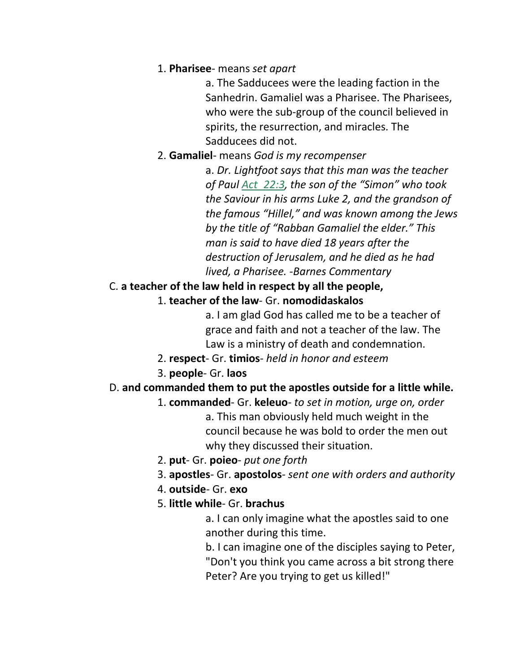#### 1. **Pharisee**- means *set apart*

a. The Sadducees were the leading faction in the Sanhedrin. Gamaliel was a Pharisee. The Pharisees, who were the sub-group of the council believed in spirits, the resurrection, and miracles. The Sadducees did not.

2. **Gamaliel**- means *God is my recompenser*

a. *Dr. Lightfoot says that this man was the teacher of Paul Act\_22:3, the son of the "Simon" who took the Saviour in his arms Luke 2, and the grandson of the famous "Hillel," and was known among the Jews by the title of "Rabban Gamaliel the elder." This man is said to have died 18 years after the destruction of Jerusalem, and he died as he had lived, a Pharisee. -Barnes Commentary*

## C. **a teacher of the law held in respect by all the people,**

1. **teacher of the law**- Gr. **nomodidaskalos**

a. I am glad God has called me to be a teacher of grace and faith and not a teacher of the law. The Law is a ministry of death and condemnation.

- 2. **respect** Gr. **timios** *held in honor and esteem*
- 3. **people** Gr. **laos**

#### D. **and commanded them to put the apostles outside for a little while.**

1. **commanded**- Gr. **keleuo**- *to set in motion, urge on, order* a. This man obviously held much weight in the council because he was bold to order the men out

why they discussed their situation.

- 2. **put** Gr. **poieo** *put one forth*
- 3. **apostles** Gr. **apostolos** *sent one with orders and authority*
- 4. **outside** Gr. **exo**
- 5. **little while** Gr. **brachus**

a. I can only imagine what the apostles said to one another during this time.

b. I can imagine one of the disciples saying to Peter, "Don't you think you came across a bit strong there Peter? Are you trying to get us killed!"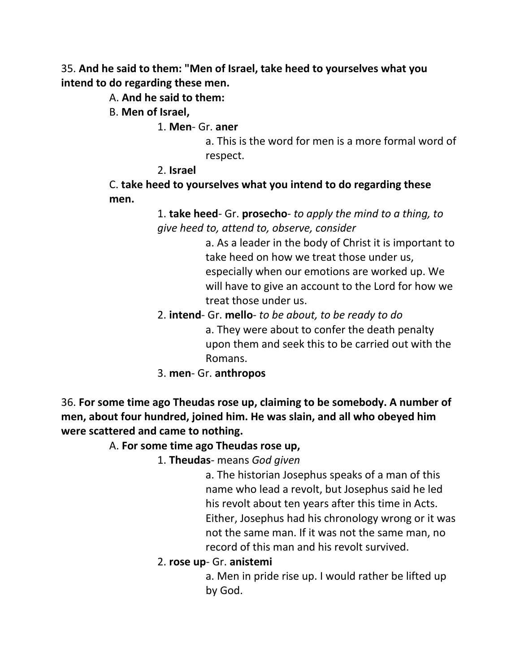35. **And he said to them: "Men of Israel, take heed to yourselves what you intend to do regarding these men.** 

A. **And he said to them:**

B. **Men of Israel,**

1. **Men**- Gr. **aner**

a. This is the word for men is a more formal word of respect.

#### 2. **Israel**

C. **take heed to yourselves what you intend to do regarding these men.**

> 1. **take heed**- Gr. **prosecho**- *to apply the mind to a thing, to give heed to, attend to, observe, consider*

> > a. As a leader in the body of Christ it is important to take heed on how we treat those under us, especially when our emotions are worked up. We will have to give an account to the Lord for how we treat those under us.

- 2. **intend** Gr. **mello** *to be about, to be ready to do* a. They were about to confer the death penalty upon them and seek this to be carried out with the Romans.
- 3. **men** Gr. **anthropos**

36. **For some time ago Theudas rose up, claiming to be somebody. A number of men, about four hundred, joined him. He was slain, and all who obeyed him were scattered and came to nothing.** 

#### A. **For some time ago Theudas rose up,**

1. **Theudas**- means *God given*

a. The historian Josephus speaks of a man of this name who lead a revolt, but Josephus said he led his revolt about ten years after this time in Acts. Either, Josephus had his chronology wrong or it was not the same man. If it was not the same man, no record of this man and his revolt survived.

#### 2. **rose up**- Gr. **anistemi**

a. Men in pride rise up. I would rather be lifted up by God.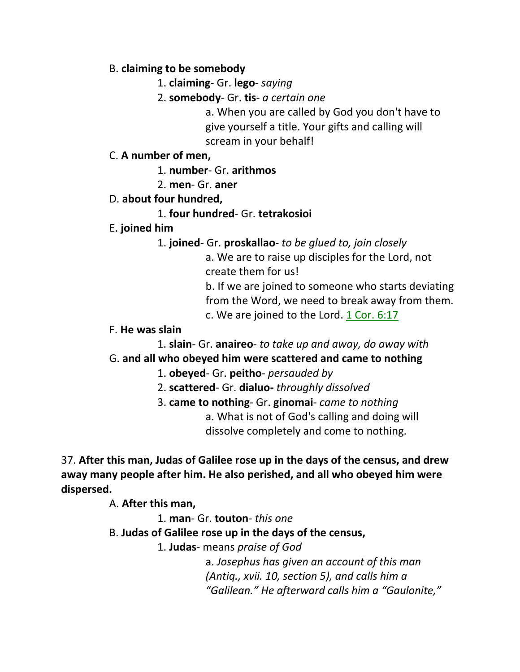#### B. **claiming to be somebody**

- 1. **claiming** Gr. **lego** *saying*
- 2. **somebody** Gr. **tis** *a certain one*

a. When you are called by God you don't have to give yourself a title. Your gifts and calling will scream in your behalf!

#### C. **A number of men,**

1. **number**- Gr. **arithmos**

2. **men**- Gr. **aner**

## D. **about four hundred,**

## 1. **four hundred**- Gr. **tetrakosioi**

# E. **joined him**

1. **joined**- Gr. **proskallao**- *to be glued to, join closely*

a. We are to raise up disciples for the Lord, not create them for us!

b. If we are joined to someone who starts deviating from the Word, we need to break away from them.

c. We are joined to the Lord. 1 Cor. 6:17

## F. **He was slain**

1. **slain**- Gr. **anaireo**- *to take up and away, do away with* G. **and all who obeyed him were scattered and came to nothing**

# 1. **obeyed**- Gr. **peitho**- *persauded by*

2. **scattered**- Gr. **dialuo-** *throughly dissolved*

3. **came to nothing**- Gr. **ginomai**- *came to nothing* a. What is not of God's calling and doing will

dissolve completely and come to nothing.

37. **After this man, Judas of Galilee rose up in the days of the census, and drew away many people after him. He also perished, and all who obeyed him were dispersed.** 

A. **After this man,**

1. **man**- Gr. **touton**- *this one*

B. **Judas of Galilee rose up in the days of the census,**

1. **Judas**- means *praise of God*

a. *Josephus has given an account of this man (Antiq., xvii. 10, section 5), and calls him a "Galilean." He afterward calls him a "Gaulonite,"*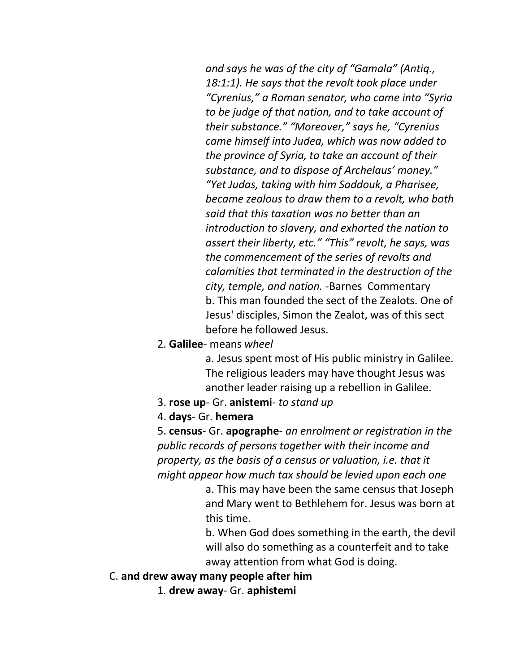*and says he was of the city of "Gamala" (Antiq., 18:1:1). He says that the revolt took place under "Cyrenius," a Roman senator, who came into "Syria to be judge of that nation, and to take account of their substance." "Moreover," says he, "Cyrenius came himself into Judea, which was now added to the province of Syria, to take an account of their substance, and to dispose of Archelaus' money." "Yet Judas, taking with him Saddouk, a Pharisee, became zealous to draw them to a revolt, who both said that this taxation was no better than an introduction to slavery, and exhorted the nation to assert their liberty, etc." "This" revolt, he says, was the commencement of the series of revolts and calamities that terminated in the destruction of the city, temple, and nation. -*Barnes Commentary b. This man founded the sect of the Zealots. One of Jesus' disciples, Simon the Zealot, was of this sect before he followed Jesus.

2. **Galilee**- means *wheel*

a. Jesus spent most of His public ministry in Galilee. The religious leaders may have thought Jesus was another leader raising up a rebellion in Galilee.

- 3. **rose up** Gr. **anistemi** *to stand up*
- 4. **days** Gr. **hemera**

5. **census**- Gr. **apographe**- *an enrolment or registration in the public records of persons together with their income and property, as the basis of a census or valuation, i.e. that it might appear how much tax should be levied upon each one*

> a. This may have been the same census that Joseph and Mary went to Bethlehem for. Jesus was born at this time.

> b. When God does something in the earth, the devil will also do something as a counterfeit and to take away attention from what God is doing.

#### C. **and drew away many people after him**

1. **drew away**- Gr. **aphistemi**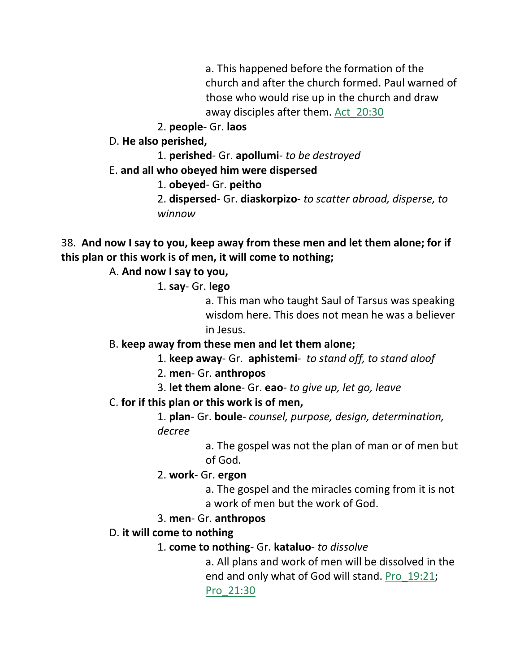a. This happened before the formation of the church and after the church formed. Paul warned of those who would rise up in the church and draw away disciples after them. Act\_20:30

2. **people**- Gr. **laos**

D. **He also perished,**

1. **perished**- Gr. **apollumi**- *to be destroyed*

E. **and all who obeyed him were dispersed**

1. **obeyed**- Gr. **peitho**

2. **dispersed**- Gr. **diaskorpizo**- *to scatter abroad, disperse, to winnow*

38. **And now I say to you, keep away from these men and let them alone; for if this plan or this work is of men, it will come to nothing;** 

A. **And now I say to you,**

1. **say**- Gr. **lego**

a. This man who taught Saul of Tarsus was speaking wisdom here. This does not mean he was a believer in Jesus.

## B. **keep away from these men and let them alone;**

1. **keep away**- Gr. **aphistemi**- *to stand off, to stand aloof*

2. **men**- Gr. **anthropos**

- 3. **let them alone** Gr. **eao** *to give up, let go, leave*
- C. **for if this plan or this work is of men,**

1. **plan**- Gr. **boule**- *counsel, purpose, design, determination, decree*

> a. The gospel was not the plan of man or of men but of God.

2. **work**- Gr. **ergon**

a. The gospel and the miracles coming from it is not a work of men but the work of God.

## 3. **men**- Gr. **anthropos**

## D. **it will come to nothing**

1. **come to nothing**- Gr. **kataluo**- *to dissolve*

a. All plans and work of men will be dissolved in the end and only what of God will stand. Pro\_19:21; Pro\_21:30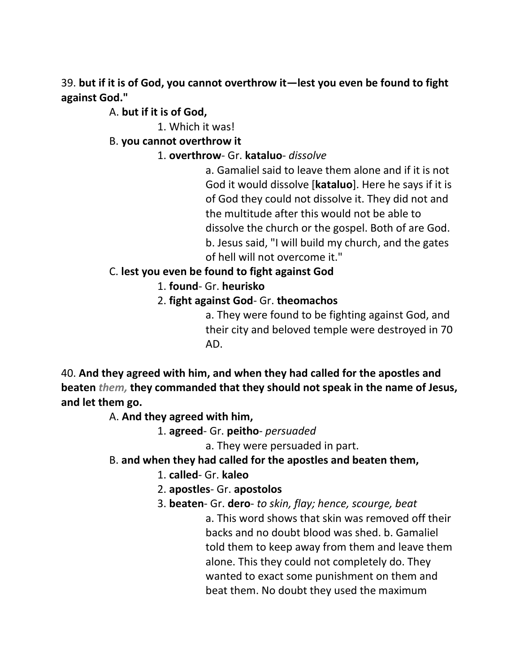39. **but if it is of God, you cannot overthrow it—lest you even be found to fight against God."** 

## A. **but if it is of God,**

1. Which it was!

## B. **you cannot overthrow it**

1. **overthrow**- Gr. **kataluo**- *dissolve*

a. Gamaliel said to leave them alone and if it is not God it would dissolve [**kataluo**]. Here he says if it is of God they could not dissolve it. They did not and the multitude after this would not be able to dissolve the church or the gospel. Both of are God. b. Jesus said, "I will build my church, and the gates of hell will not overcome it."

# C. **lest you even be found to fight against God**

## 1. **found**- Gr. **heurisko**

## 2. **fight against God**- Gr. **theomachos**

a. They were found to be fighting against God, and their city and beloved temple were destroyed in 70 AD.

40. **And they agreed with him, and when they had called for the apostles and beaten** *them,* **they commanded that they should not speak in the name of Jesus, and let them go.** 

A. **And they agreed with him,**

1. **agreed**- Gr. **peitho**- *persuaded*

a. They were persuaded in part.

## B. **and when they had called for the apostles and beaten them,**

- 1. **called** Gr. **kaleo**
- 2. **apostles** Gr. **apostolos**
- 3. **beaten** Gr. **dero** *to skin, flay; hence, scourge, beat*

a. This word shows that skin was removed off their backs and no doubt blood was shed. b. Gamaliel told them to keep away from them and leave them alone. This they could not completely do. They wanted to exact some punishment on them and beat them. No doubt they used the maximum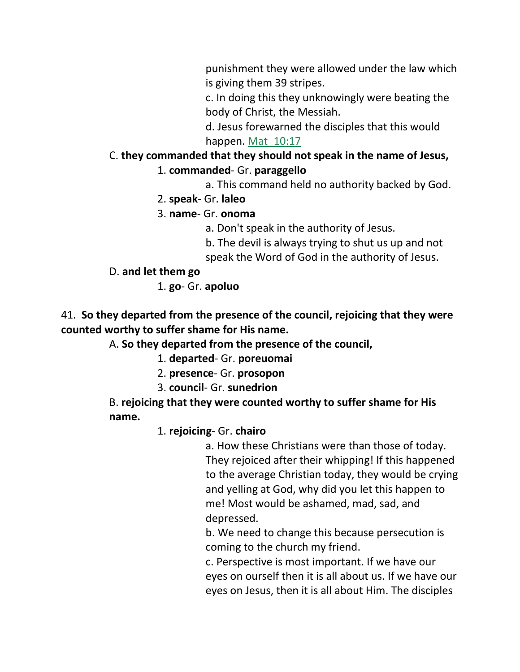punishment they were allowed under the law which is giving them 39 stripes.

c. In doing this they unknowingly were beating the body of Christ, the Messiah.

d. Jesus forewarned the disciples that this would happen. Mat 10:17

# C. **they commanded that they should not speak in the name of Jesus,** 1. **commanded**- Gr. **paraggello**

a. This command held no authority backed by God.

- 2. **speak** Gr. **laleo**
- 3. **name** Gr. **onoma**

a. Don't speak in the authority of Jesus.

b. The devil is always trying to shut us up and not

speak the Word of God in the authority of Jesus.

## D. **and let them go**

1. **go**- Gr. **apoluo**

41. **So they departed from the presence of the council, rejoicing that they were counted worthy to suffer shame for His name.** 

A. **So they departed from the presence of the council,**

1. **departed**- Gr. **poreuomai**

- 2. **presence** Gr. **prosopon**
- 3. **council** Gr. **sunedrion**

B. **rejoicing that they were counted worthy to suffer shame for His name.** 

## 1. **rejoicing**- Gr. **chairo**

a. How these Christians were than those of today. They rejoiced after their whipping! If this happened to the average Christian today, they would be crying and yelling at God, why did you let this happen to me! Most would be ashamed, mad, sad, and depressed.

b. We need to change this because persecution is coming to the church my friend.

c. Perspective is most important. If we have our eyes on ourself then it is all about us. If we have our eyes on Jesus, then it is all about Him. The disciples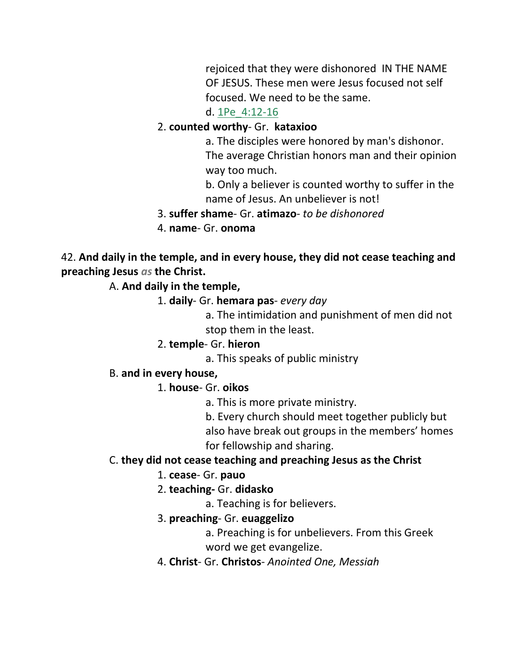rejoiced that they were dishonored IN THE NAME OF JESUS. These men were Jesus focused not self focused. We need to be the same.

#### d. 1Pe\_4:12-16

#### 2. **counted worthy**- Gr. **kataxioo**

a. The disciples were honored by man's dishonor. The average Christian honors man and their opinion way too much.

b. Only a believer is counted worthy to suffer in the name of Jesus. An unbeliever is not!

#### 3. **suffer shame**- Gr. **atimazo**- *to be dishonored*

4. **name**- Gr. **onoma**

42. **And daily in the temple, and in every house, they did not cease teaching and preaching Jesus** *as* **the Christ.**

A. **And daily in the temple,**

1. **daily**- Gr. **hemara pas**- *every day*

a. The intimidation and punishment of men did not stop them in the least.

#### 2. **temple**- Gr. **hieron**

a. This speaks of public ministry

#### B. **and in every house,**

1. **house**- Gr. **oikos**

a. This is more private ministry.

b. Every church should meet together publicly but also have break out groups in the members' homes for fellowship and sharing.

#### C. **they did not cease teaching and preaching Jesus as the Christ**

#### 1. **cease**- Gr. **pauo**

#### 2. **teaching-** Gr. **didasko**

a. Teaching is for believers.

#### 3. **preaching**- Gr. **euaggelizo**

a. Preaching is for unbelievers. From this Greek

word we get evangelize.

4. **Christ**- Gr. **Christos**- *Anointed One, Messiah*